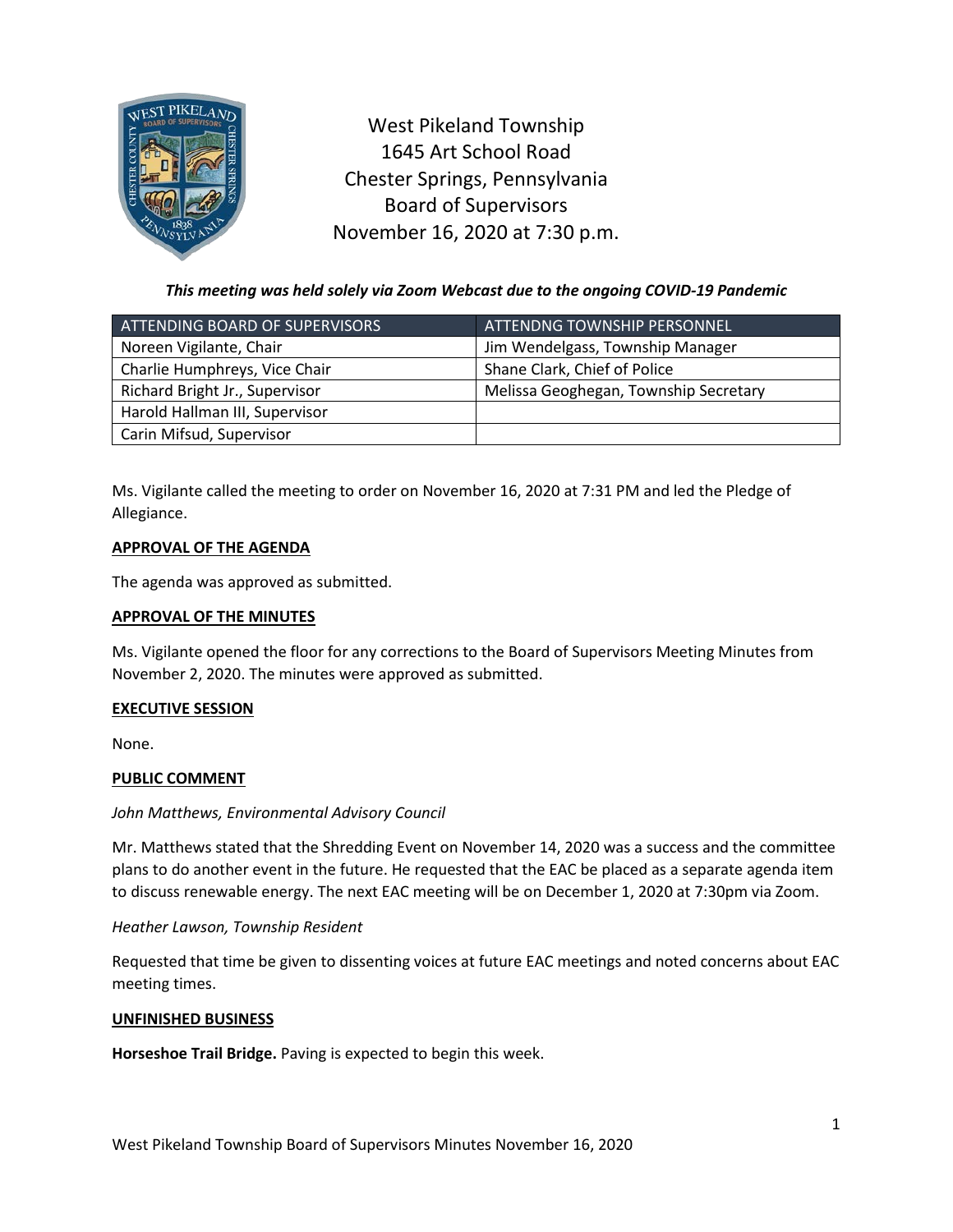

West Pikeland Township 1645 Art School Road Chester Springs, Pennsylvania Board of Supervisors November 16, 2020 at 7:30 p.m.

*This meeting was held solely via Zoom Webcast due to the ongoing COVID-19 Pandemic*

| ATTENDING BOARD OF SUPERVISORS | <u>ATTENDNG TOWNSHIP PERSONNEL,</u>   |
|--------------------------------|---------------------------------------|
| Noreen Vigilante, Chair        | Jim Wendelgass, Township Manager      |
| Charlie Humphreys, Vice Chair  | Shane Clark, Chief of Police          |
| Richard Bright Jr., Supervisor | Melissa Geoghegan, Township Secretary |
| Harold Hallman III, Supervisor |                                       |
| Carin Mifsud, Supervisor       |                                       |

Ms. Vigilante called the meeting to order on November 16, 2020 at 7:31 PM and led the Pledge of Allegiance.

## **APPROVAL OF THE AGENDA**

The agenda was approved as submitted.

### **APPROVAL OF THE MINUTES**

Ms. Vigilante opened the floor for any corrections to the Board of Supervisors Meeting Minutes from November 2, 2020. The minutes were approved as submitted.

### **EXECUTIVE SESSION**

None.

# **PUBLIC COMMENT**

### *John Matthews, Environmental Advisory Council*

Mr. Matthews stated that the Shredding Event on November 14, 2020 was a success and the committee plans to do another event in the future. He requested that the EAC be placed as a separate agenda item to discuss renewable energy. The next EAC meeting will be on December 1, 2020 at 7:30pm via Zoom.

### *Heather Lawson, Township Resident*

Requested that time be given to dissenting voices at future EAC meetings and noted concerns about EAC meeting times.

### **UNFINISHED BUSINESS**

**Horseshoe Trail Bridge.** Paving is expected to begin this week.